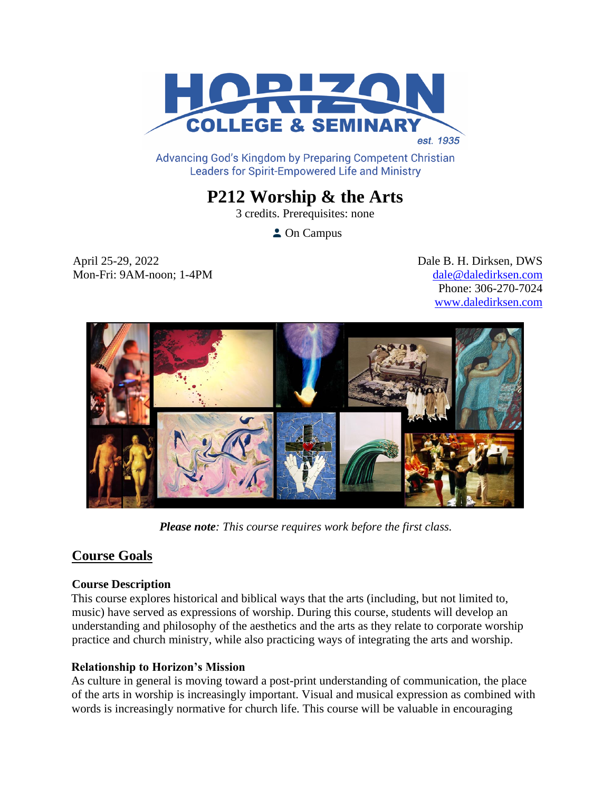

Advancing God's Kingdom by Preparing Competent Christian **Leaders for Spirit-Empowered Life and Ministry** 

# **P212 Worship & the Arts**

3 credits. Prerequisites: none

**Campus** 

April 25-29, 2022 Dale B. H. Dirksen, DWS Mon-Fri: 9AM-noon; 1-4PM [dale@daledirksen.com](mailto:dale@daledirksen.com)

Phone: 306-270-7024 [www.daledirksen.com](http://www.daledirksen.com/) 



*Please note: This course requires work before the first class.*

# **Course Goals**

# **Course Description**

This course explores historical and biblical ways that the arts (including, but not limited to, music) have served as expressions of worship. During this course, students will develop an understanding and philosophy of the aesthetics and the arts as they relate to corporate worship practice and church ministry, while also practicing ways of integrating the arts and worship.

# **Relationship to Horizon's Mission**

As culture in general is moving toward a post-print understanding of communication, the place of the arts in worship is increasingly important. Visual and musical expression as combined with words is increasingly normative for church life. This course will be valuable in encouraging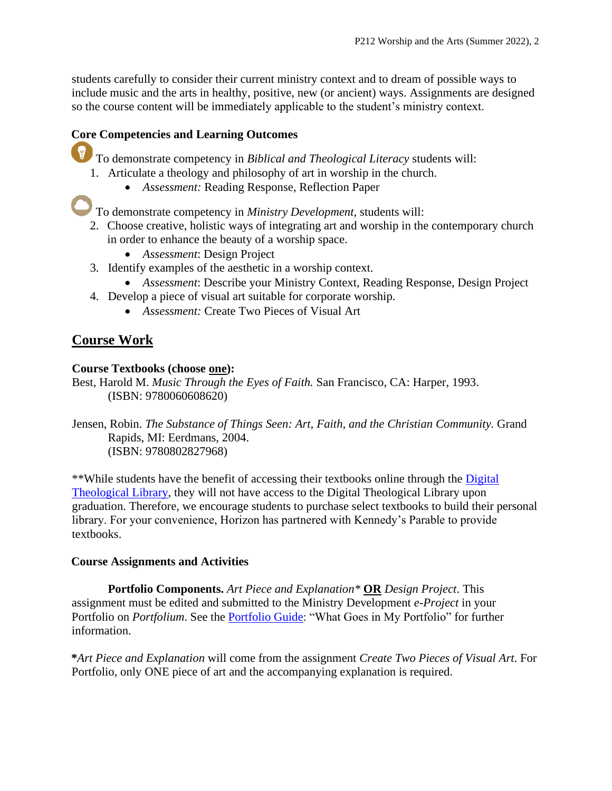students carefully to consider their current ministry context and to dream of possible ways to include music and the arts in healthy, positive, new (or ancient) ways. Assignments are designed so the course content will be immediately applicable to the student's ministry context.

# **Core Competencies and Learning Outcomes**

To demonstrate competency in *Biblical and Theological Literacy* students will:

- 1. Articulate a theology and philosophy of art in worship in the church.
	- *Assessment:* Reading Response, Reflection Paper

To demonstrate competency in *Ministry Development,* students will:

- 2. Choose creative, holistic ways of integrating art and worship in the contemporary church in order to enhance the beauty of a worship space.
	- *Assessment*: Design Project
- 3. Identify examples of the aesthetic in a worship context.
	- *Assessment*: Describe your Ministry Context, Reading Response, Design Project
- 4. Develop a piece of visual art suitable for corporate worship.
	- *Assessment:* Create Two Pieces of Visual Art

# **Course Work**

# **Course Textbooks (choose one):**

Best, Harold M. *Music Through the Eyes of Faith.* San Francisco, CA: Harper, 1993. (ISBN: 9780060608620)

Jensen, Robin. *The Substance of Things Seen: Art, Faith, and the Christian Community.* Grand Rapids, MI: Eerdmans, 2004. (ISBN: 9780802827968)

\*\*While students have the benefit of accessing their textbooks online through the [Digital](https://libguides.thedtl.org/home)  [Theological Library,](https://libguides.thedtl.org/home) they will not have access to the Digital Theological Library upon graduation. Therefore, we encourage students to purchase select textbooks to build their personal library. For your convenience, Horizon has partnered with Kennedy's Parable to provide textbooks.

# **Course Assignments and Activities**

**Portfolio Components.** *Art Piece and Explanation\** **OR** *Design Project*. This assignment must be edited and submitted to the Ministry Development *e-Project* in your Portfolio on *Portfolium*. See the [Portfolio Guide:](https://www.horizon.edu/wp-content/uploads/2019/09/Portfolio-Guide-September-2019.pdf) "What Goes in My Portfolio" for further information.

**\****Art Piece and Explanation* will come from the assignment *Create Two Pieces of Visual Art*. For Portfolio, only ONE piece of art and the accompanying explanation is required.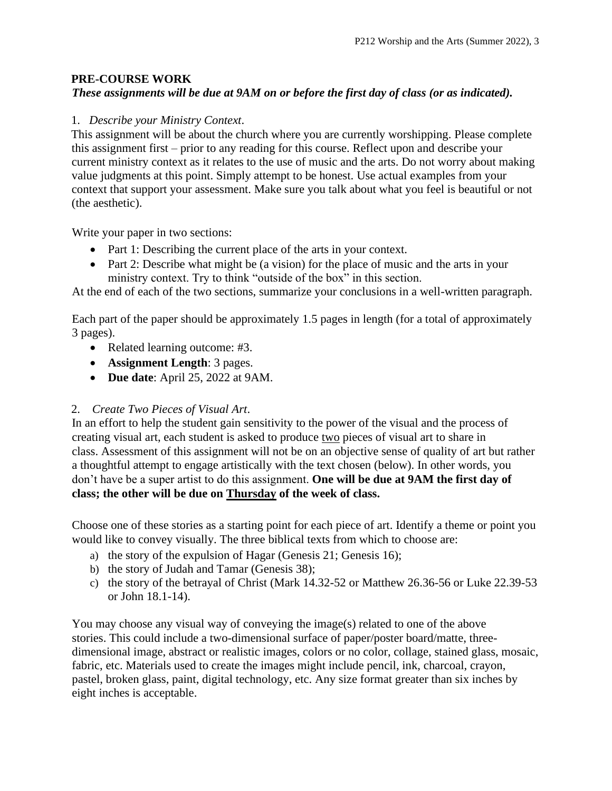# **PRE-COURSE WORK**

# *These assignments will be due at 9AM on or before the first day of class (or as indicated).*

#### 1. *Describe your Ministry Context*.

This assignment will be about the church where you are currently worshipping. Please complete this assignment first – prior to any reading for this course. Reflect upon and describe your current ministry context as it relates to the use of music and the arts. Do not worry about making value judgments at this point. Simply attempt to be honest. Use actual examples from your context that support your assessment. Make sure you talk about what you feel is beautiful or not (the aesthetic).

Write your paper in two sections:

- Part 1: Describing the current place of the arts in your context.
- Part 2: Describe what might be (a vision) for the place of music and the arts in your ministry context. Try to think "outside of the box" in this section.

At the end of each of the two sections, summarize your conclusions in a well-written paragraph.

Each part of the paper should be approximately 1.5 pages in length (for a total of approximately 3 pages).

- Related learning outcome: #3.
- **Assignment Length**: 3 pages.
- **Due date**: April 25, 2022 at 9AM.

# 2. *Create Two Pieces of Visual Art*.

In an effort to help the student gain sensitivity to the power of the visual and the process of creating visual art, each student is asked to produce two pieces of visual art to share in class. Assessment of this assignment will not be on an objective sense of quality of art but rather a thoughtful attempt to engage artistically with the text chosen (below). In other words, you don't have be a super artist to do this assignment. **One will be due at 9AM the first day of class; the other will be due on Thursday of the week of class.**

Choose one of these stories as a starting point for each piece of art. Identify a theme or point you would like to convey visually. The three biblical texts from which to choose are:

- a) the story of the expulsion of Hagar (Genesis 21; Genesis 16);
- b) the story of Judah and Tamar (Genesis 38);
- c) the story of the betrayal of Christ (Mark 14.32-52 or Matthew 26.36-56 or Luke 22.39-53 or John 18.1-14).

You may choose any visual way of conveying the image(s) related to one of the above stories. This could include a two-dimensional surface of paper/poster board/matte, threedimensional image, abstract or realistic images, colors or no color, collage, stained glass, mosaic, fabric, etc. Materials used to create the images might include pencil, ink, charcoal, crayon, pastel, broken glass, paint, digital technology, etc. Any size format greater than six inches by eight inches is acceptable.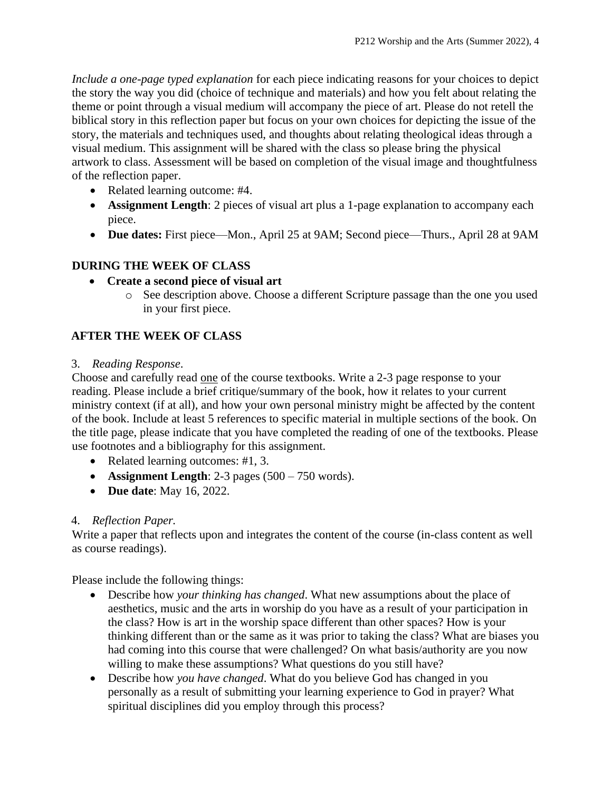*Include a one-page typed explanation* for each piece indicating reasons for your choices to depict the story the way you did (choice of technique and materials) and how you felt about relating the theme or point through a visual medium will accompany the piece of art. Please do not retell the biblical story in this reflection paper but focus on your own choices for depicting the issue of the story, the materials and techniques used, and thoughts about relating theological ideas through a visual medium. This assignment will be shared with the class so please bring the physical artwork to class. Assessment will be based on completion of the visual image and thoughtfulness of the reflection paper.

- Related learning outcome: #4.
- **Assignment Length**: 2 pieces of visual art plus a 1-page explanation to accompany each piece.
- **Due dates:** First piece—Mon., April 25 at 9AM; Second piece—Thurs., April 28 at 9AM

# **DURING THE WEEK OF CLASS**

- **Create a second piece of visual art**
	- o See description above. Choose a different Scripture passage than the one you used in your first piece.

# **AFTER THE WEEK OF CLASS**

#### 3.*Reading Response*.

Choose and carefully read one of the course textbooks. Write a 2-3 page response to your reading. Please include a brief critique/summary of the book, how it relates to your current ministry context (if at all), and how your own personal ministry might be affected by the content of the book. Include at least 5 references to specific material in multiple sections of the book. On the title page, please indicate that you have completed the reading of one of the textbooks. Please use footnotes and a bibliography for this assignment.

- Related learning outcomes: #1, 3.
- **Assignment Length**: 2-3 pages (500 750 words).
- **Due date**: May 16, 2022.

# 4. *Reflection Paper.*

Write a paper that reflects upon and integrates the content of the course (in-class content as well as course readings).

Please include the following things:

- Describe how *your thinking has changed*. What new assumptions about the place of aesthetics, music and the arts in worship do you have as a result of your participation in the class? How is art in the worship space different than other spaces? How is your thinking different than or the same as it was prior to taking the class? What are biases you had coming into this course that were challenged? On what basis/authority are you now willing to make these assumptions? What questions do you still have?
- Describe how *you have changed*. What do you believe God has changed in you personally as a result of submitting your learning experience to God in prayer? What spiritual disciplines did you employ through this process?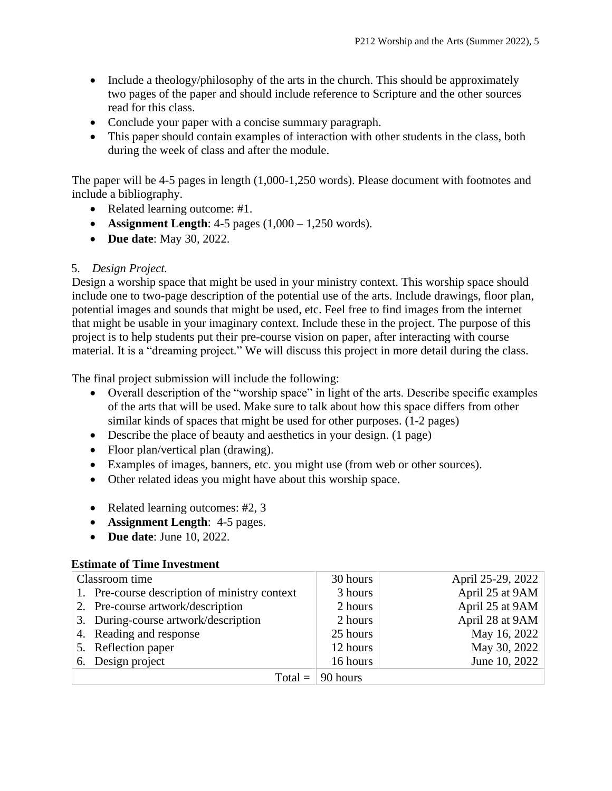- Include a theology/philosophy of the arts in the church. This should be approximately two pages of the paper and should include reference to Scripture and the other sources read for this class.
- Conclude your paper with a concise summary paragraph.
- This paper should contain examples of interaction with other students in the class, both during the week of class and after the module.

The paper will be 4-5 pages in length (1,000-1,250 words). Please document with footnotes and include a bibliography.

- Related learning outcome: #1.
- **Assignment Length**:  $4-5$  pages  $(1,000 1,250 \text{ words})$ .
- **Due date**: May 30, 2022.

# 5. *Design Project.*

Design a worship space that might be used in your ministry context. This worship space should include one to two-page description of the potential use of the arts. Include drawings, floor plan, potential images and sounds that might be used, etc. Feel free to find images from the internet that might be usable in your imaginary context. Include these in the project. The purpose of this project is to help students put their pre-course vision on paper, after interacting with course material. It is a "dreaming project." We will discuss this project in more detail during the class.

The final project submission will include the following:

- Overall description of the "worship space" in light of the arts. Describe specific examples of the arts that will be used. Make sure to talk about how this space differs from other similar kinds of spaces that might be used for other purposes. (1-2 pages)
- Describe the place of beauty and aesthetics in your design. (1 page)
- Floor plan/vertical plan (drawing).
- Examples of images, banners, etc. you might use (from web or other sources).
- Other related ideas you might have about this worship space.
- Related learning outcomes: #2, 3
- **Assignment Length**: 4-5 pages.
- **Due date**: June 10, 2022.

# **Estimate of Time Investment**

| Classroom time |                                               | 30 hours | April 25-29, 2022 |
|----------------|-----------------------------------------------|----------|-------------------|
|                | 1. Pre-course description of ministry context | 3 hours  | April 25 at 9AM   |
|                | 2. Pre-course artwork/description             | 2 hours  | April 25 at 9AM   |
|                | 3. During-course artwork/description          | 2 hours  | April 28 at 9AM   |
|                | 4. Reading and response                       | 25 hours | May 16, 2022      |
|                | 5. Reflection paper                           | 12 hours | May 30, 2022      |
|                | 6. Design project                             | 16 hours | June 10, 2022     |
|                | $Total =$                                     | 90 hours |                   |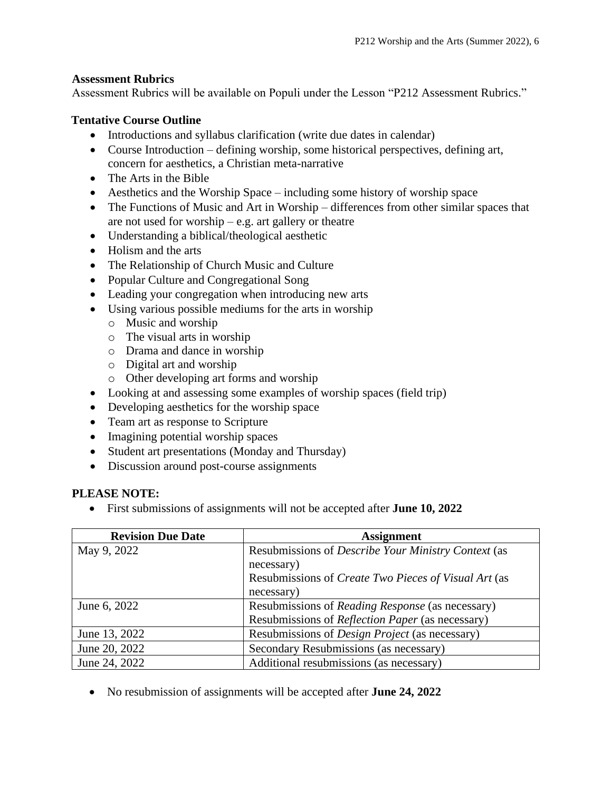# **Assessment Rubrics**

Assessment Rubrics will be available on Populi under the Lesson "P212 Assessment Rubrics."

# **Tentative Course Outline**

- Introductions and syllabus clarification (write due dates in calendar)
- Course Introduction defining worship, some historical perspectives, defining art, concern for aesthetics, a Christian meta-narrative
- The Arts in the Bible
- Aesthetics and the Worship Space including some history of worship space
- The Functions of Music and Art in Worship differences from other similar spaces that are not used for worship – e.g. art gallery or theatre
- Understanding a biblical/theological aesthetic
- Holism and the arts
- The Relationship of Church Music and Culture
- Popular Culture and Congregational Song
- Leading your congregation when introducing new arts
- Using various possible mediums for the arts in worship
	- o Music and worship
	- o The visual arts in worship
	- o Drama and dance in worship
	- o Digital art and worship
	- o Other developing art forms and worship
- Looking at and assessing some examples of worship spaces (field trip)
- Developing aesthetics for the worship space
- Team art as response to Scripture
- Imagining potential worship spaces
- Student art presentations (Monday and Thursday)
- Discussion around post-course assignments

#### **PLEASE NOTE:**

• First submissions of assignments will not be accepted after **June 10, 2022**

| <b>Revision Due Date</b> | <b>Assignment</b>                                           |
|--------------------------|-------------------------------------------------------------|
| May 9, 2022              | Resubmissions of <i>Describe Your Ministry Context</i> (as  |
|                          | necessary)                                                  |
|                          | Resubmissions of <i>Create Two Pieces of Visual Art</i> (as |
|                          | necessary)                                                  |
| June 6, 2022             | Resubmissions of Reading Response (as necessary)            |
|                          | Resubmissions of <i>Reflection Paper</i> (as necessary)     |
| June 13, 2022            | Resubmissions of <i>Design Project</i> (as necessary)       |
| June 20, 2022            | Secondary Resubmissions (as necessary)                      |
| June 24, 2022            | Additional resubmissions (as necessary)                     |

• No resubmission of assignments will be accepted after **June 24, 2022**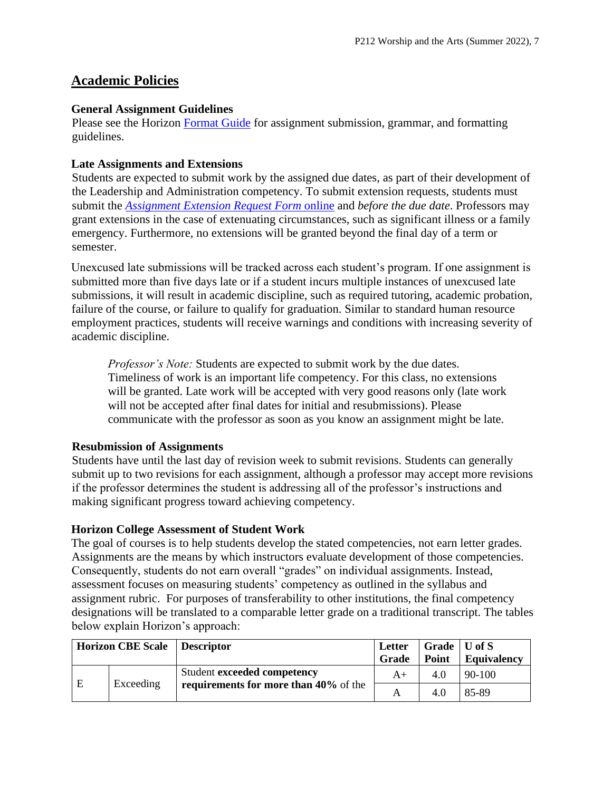# **Academic Policies**

#### **General Assignment Guidelines**

Please see the Horizon [Format Guide](https://www.horizon.edu/students/resources/) for assignment submission, grammar, and formatting guidelines.

#### **Late Assignments and Extensions**

Students are expected to submit work by the assigned due dates, as part of their development of the Leadership and Administration competency. To submit extension requests, students must submit the *[Assignment Extension Request Form](https://horizon.edu/forms/student/)* online and *before the due date*. Professors may grant extensions in the case of extenuating circumstances, such as significant illness or a family emergency. Furthermore, no extensions will be granted beyond the final day of a term or semester.

Unexcused late submissions will be tracked across each student's program. If one assignment is submitted more than five days late or if a student incurs multiple instances of unexcused late submissions, it will result in academic discipline, such as required tutoring, academic probation, failure of the course, or failure to qualify for graduation. Similar to standard human resource employment practices, students will receive warnings and conditions with increasing severity of academic discipline.

*Professor's Note:* Students are expected to submit work by the due dates. Timeliness of work is an important life competency. For this class, no extensions will be granted. Late work will be accepted with very good reasons only (late work will not be accepted after final dates for initial and resubmissions). Please communicate with the professor as soon as you know an assignment might be late.

#### **Resubmission of Assignments**

Students have until the last day of revision week to submit revisions. Students can generally submit up to two revisions for each assignment, although a professor may accept more revisions if the professor determines the student is addressing all of the professor's instructions and making significant progress toward achieving competency.

#### **Horizon College Assessment of Student Work**

The goal of courses is to help students develop the stated competencies, not earn letter grades. Assignments are the means by which instructors evaluate development of those competencies. Consequently, students do not earn overall "grades" on individual assignments. Instead, assessment focuses on measuring students' competency as outlined in the syllabus and assignment rubric. For purposes of transferability to other institutions, the final competency designations will be translated to a comparable letter grade on a traditional transcript. The tables below explain Horizon's approach:

| Horizon CBE Scale   Descriptor |           |                                                                      | Letter<br>Grade | Grade $\vert$ U of S<br>Point | <b>Equivalency</b> |
|--------------------------------|-----------|----------------------------------------------------------------------|-----------------|-------------------------------|--------------------|
| E                              | Exceeding | Student exceeded competency<br>requirements for more than 40% of the | $A+$            | 4.0                           | $90-100$           |
|                                |           |                                                                      |                 | 4.0                           | 85-89              |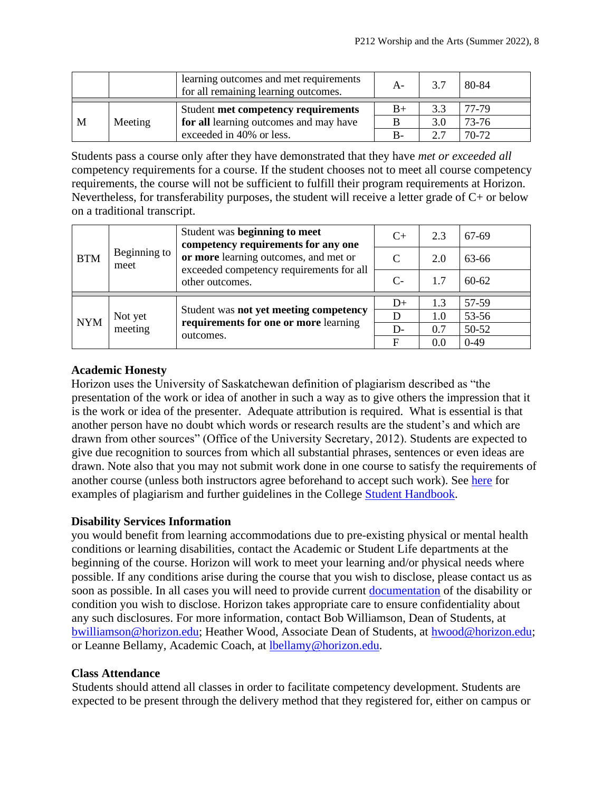|   |         | learning outcomes and met requirements<br>for all remaining learning outcomes. | $A -$ | 3.7 | 80-84 |
|---|---------|--------------------------------------------------------------------------------|-------|-----|-------|
|   |         | Student met competency requirements                                            | $B+$  | 3.3 | 77-79 |
| M | Meeting | for all learning outcomes and may have                                         |       | 3.0 | 73-76 |
|   |         | exceeded in 40% or less.                                                       | $B -$ | 27  | 70-72 |

Students pass a course only after they have demonstrated that they have *met or exceeded all*  competency requirements for a course. If the student chooses not to meet all course competency requirements, the course will not be sufficient to fulfill their program requirements at Horizon. Nevertheless, for transferability purposes, the student will receive a letter grade of C+ or below on a traditional transcript.

| <b>BTM</b> | Beginning to<br>meet | Student was beginning to meet<br>competency requirements for any one<br>or more learning outcomes, and met or<br>exceeded competency requirements for all<br>other outcomes. | $C+$                        | 2.3 | 67-69     |
|------------|----------------------|------------------------------------------------------------------------------------------------------------------------------------------------------------------------------|-----------------------------|-----|-----------|
|            |                      |                                                                                                                                                                              | $\mathcal{C}_{\mathcal{C}}$ | 2.0 | 63-66     |
|            |                      |                                                                                                                                                                              | $C-$                        | 1.7 | $60 - 62$ |
|            | Not yet<br>meeting   | Student was not yet meeting competency<br>requirements for one or more learning<br>outcomes.                                                                                 | $D+$                        | 1.3 | 57-59     |
| <b>NYM</b> |                      |                                                                                                                                                                              | D                           | 1.0 | 53-56     |
|            |                      |                                                                                                                                                                              | $D-$                        | 0.7 | 50-52     |
|            |                      |                                                                                                                                                                              | F                           | 0.0 | $0-49$    |

#### **Academic Honesty**

Horizon uses the University of Saskatchewan definition of plagiarism described as "the presentation of the work or idea of another in such a way as to give others the impression that it is the work or idea of the presenter. Adequate attribution is required. What is essential is that another person have no doubt which words or research results are the student's and which are drawn from other sources" (Office of the University Secretary, 2012). Students are expected to give due recognition to sources from which all substantial phrases, sentences or even ideas are drawn. Note also that you may not submit work done in one course to satisfy the requirements of another course (unless both instructors agree beforehand to accept such work). See [here](http://www.turnitin.com/assets/en_us/media/plagiarism_spectrum.php) for examples of plagiarism and further guidelines in the College [Student Handbook.](https://www.horizon.edu/students/resources/)

# **Disability Services Information**

you would benefit from learning accommodations due to pre-existing physical or mental health conditions or learning disabilities, contact the Academic or Student Life departments at the beginning of the course. Horizon will work to meet your learning and/or physical needs where possible. If any conditions arise during the course that you wish to disclose, please contact us as soon as possible. In all cases you will need to provide current [documentation](https://www.horizon.edu/students/support/) of the disability or condition you wish to disclose. Horizon takes appropriate care to ensure confidentiality about any such disclosures. For more information, contact Bob Williamson, Dean of Students, at [bwilliamson@horizon.edu;](mailto:bwilliamson@horizon.edu) Heather Wood, Associate Dean of Students, at [hwood@horizon.edu;](mailto:hwood@horizon.edu) or Leanne Bellamy, Academic Coach, at [lbellamy@horizon.edu.](mailto:lbellamy@horizon.edu)

#### **Class Attendance**

Students should attend all classes in order to facilitate competency development. Students are expected to be present through the delivery method that they registered for, either on campus or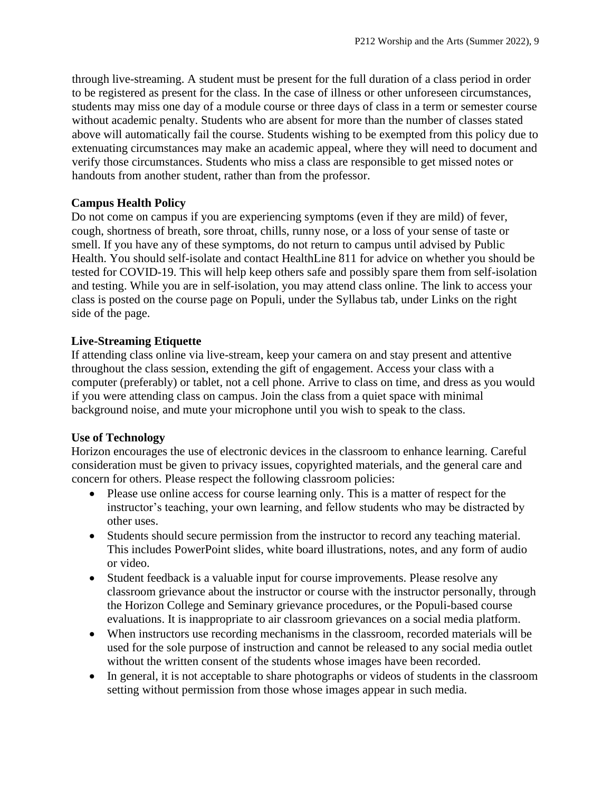through live-streaming. A student must be present for the full duration of a class period in order to be registered as present for the class. In the case of illness or other unforeseen circumstances, students may miss one day of a module course or three days of class in a term or semester course without academic penalty. Students who are absent for more than the number of classes stated above will automatically fail the course. Students wishing to be exempted from this policy due to extenuating circumstances may make an academic appeal, where they will need to document and verify those circumstances. Students who miss a class are responsible to get missed notes or handouts from another student, rather than from the professor.

#### **Campus Health Policy**

Do not come on campus if you are experiencing symptoms (even if they are mild) of fever, cough, shortness of breath, sore throat, chills, runny nose, or a loss of your sense of taste or smell. If you have any of these symptoms, do not return to campus until advised by Public Health. You should self-isolate and contact HealthLine 811 for advice on whether you should be tested for COVID-19. This will help keep others safe and possibly spare them from self-isolation and testing. While you are in self-isolation, you may attend class online. The link to access your class is posted on the course page on Populi, under the Syllabus tab, under Links on the right side of the page.

#### **Live-Streaming Etiquette**

If attending class online via live-stream, keep your camera on and stay present and attentive throughout the class session, extending the gift of engagement. Access your class with a computer (preferably) or tablet, not a cell phone. Arrive to class on time, and dress as you would if you were attending class on campus. Join the class from a quiet space with minimal background noise, and mute your microphone until you wish to speak to the class.

#### **Use of Technology**

Horizon encourages the use of electronic devices in the classroom to enhance learning. Careful consideration must be given to privacy issues, copyrighted materials, and the general care and concern for others. Please respect the following classroom policies:

- Please use online access for course learning only. This is a matter of respect for the instructor's teaching, your own learning, and fellow students who may be distracted by other uses.
- Students should secure permission from the instructor to record any teaching material. This includes PowerPoint slides, white board illustrations, notes, and any form of audio or video.
- Student feedback is a valuable input for course improvements. Please resolve any classroom grievance about the instructor or course with the instructor personally, through the Horizon College and Seminary grievance procedures, or the Populi-based course evaluations. It is inappropriate to air classroom grievances on a social media platform.
- When instructors use recording mechanisms in the classroom, recorded materials will be used for the sole purpose of instruction and cannot be released to any social media outlet without the written consent of the students whose images have been recorded.
- In general, it is not acceptable to share photographs or videos of students in the classroom setting without permission from those whose images appear in such media.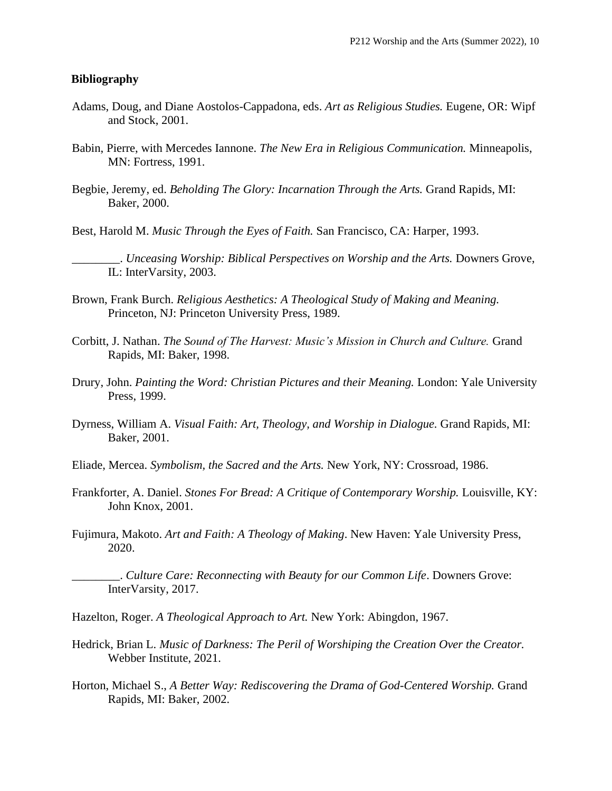#### **Bibliography**

- Adams, Doug, and Diane Aostolos-Cappadona, eds. *Art as Religious Studies.* Eugene, OR: Wipf and Stock, 2001.
- Babin, Pierre, with Mercedes Iannone. *The New Era in Religious Communication.* Minneapolis, MN: Fortress, 1991.
- Begbie, Jeremy, ed. *Beholding The Glory: Incarnation Through the Arts.* Grand Rapids, MI: Baker, 2000.
- Best, Harold M. *Music Through the Eyes of Faith.* San Francisco, CA: Harper, 1993.
	- \_\_\_\_\_\_\_\_. *Unceasing Worship: Biblical Perspectives on Worship and the Arts.* Downers Grove, IL: InterVarsity, 2003.
- Brown, Frank Burch. *Religious Aesthetics: A Theological Study of Making and Meaning.*  Princeton, NJ: Princeton University Press, 1989.
- Corbitt, J. Nathan. *The Sound of The Harvest: Music's Mission in Church and Culture.* Grand Rapids, MI: Baker, 1998.
- Drury, John. *Painting the Word: Christian Pictures and their Meaning.* London: Yale University Press, 1999.
- Dyrness, William A. *Visual Faith: Art, Theology, and Worship in Dialogue.* Grand Rapids, MI: Baker, 2001.
- Eliade, Mercea. *Symbolism, the Sacred and the Arts.* New York, NY: Crossroad, 1986.
- Frankforter, A. Daniel. *Stones For Bread: A Critique of Contemporary Worship.* Louisville, KY: John Knox, 2001.
- Fujimura, Makoto. *Art and Faith: A Theology of Making*. New Haven: Yale University Press, 2020.
- \_\_\_\_\_\_\_\_. *Culture Care: Reconnecting with Beauty for our Common Life*. Downers Grove: InterVarsity, 2017.
- Hazelton, Roger. *A Theological Approach to Art.* New York: Abingdon, 1967.
- Hedrick, Brian L. *Music of Darkness: The Peril of Worshiping the Creation Over the Creator.*  Webber Institute, 2021.
- Horton, Michael S., *A Better Way: Rediscovering the Drama of God-Centered Worship.* Grand Rapids, MI: Baker, 2002.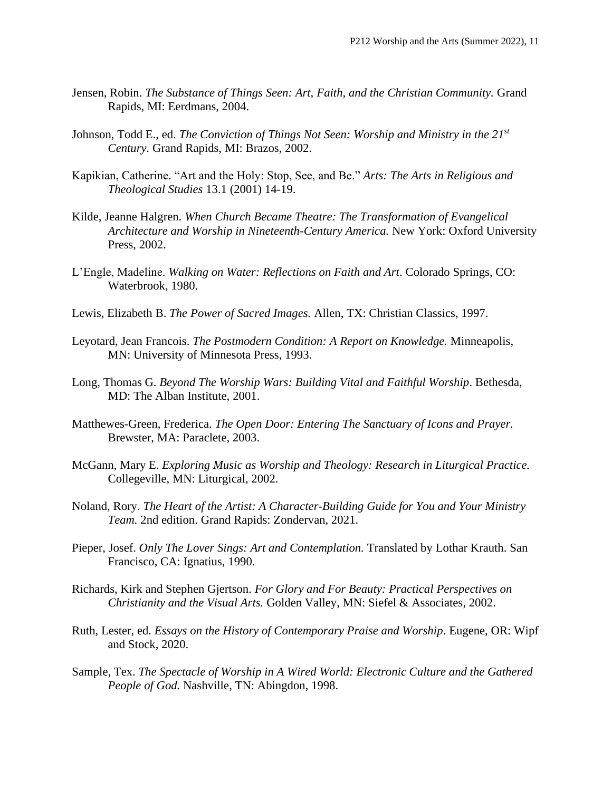- Jensen, Robin. *The Substance of Things Seen: Art, Faith, and the Christian Community.* Grand Rapids, MI: Eerdmans, 2004.
- Johnson, Todd E., ed. *The Conviction of Things Not Seen: Worship and Ministry in the 21st Century.* Grand Rapids, MI: Brazos, 2002.
- Kapikian, Catherine. "Art and the Holy: Stop, See, and Be." *Arts: The Arts in Religious and Theological Studies* 13.1 (2001) 14-19.
- Kilde, Jeanne Halgren. *When Church Became Theatre: The Transformation of Evangelical Architecture and Worship in Nineteenth-Century America.* New York: Oxford University Press, 2002.
- L'Engle, Madeline. *Walking on Water: Reflections on Faith and Art*. Colorado Springs, CO: Waterbrook, 1980.
- Lewis, Elizabeth B. *The Power of Sacred Images.* Allen, TX: Christian Classics, 1997.
- Leyotard, Jean Francois. *The Postmodern Condition: A Report on Knowledge.* Minneapolis, MN: University of Minnesota Press, 1993.
- Long, Thomas G. *Beyond The Worship Wars: Building Vital and Faithful Worship*. Bethesda, MD: The Alban Institute, 2001.
- Matthewes-Green, Frederica. *The Open Door: Entering The Sanctuary of Icons and Prayer.* Brewster, MA: Paraclete, 2003.
- McGann, Mary E. *Exploring Music as Worship and Theology: Research in Liturgical Practice.* Collegeville, MN: Liturgical, 2002.
- Noland, Rory. *The Heart of the Artist: A Character-Building Guide for You and Your Ministry Team.* 2nd edition. Grand Rapids: Zondervan, 2021.
- Pieper, Josef. *Only The Lover Sings: Art and Contemplation.* Translated by Lothar Krauth. San Francisco, CA: Ignatius, 1990.
- Richards, Kirk and Stephen Gjertson. *For Glory and For Beauty: Practical Perspectives on Christianity and the Visual Arts.* Golden Valley, MN: Siefel & Associates, 2002.
- Ruth, Lester, ed. *Essays on the History of Contemporary Praise and Worship*. Eugene, OR: Wipf and Stock, 2020.
- Sample, Tex. *The Spectacle of Worship in A Wired World: Electronic Culture and the Gathered People of God.* Nashville, TN: Abingdon, 1998.